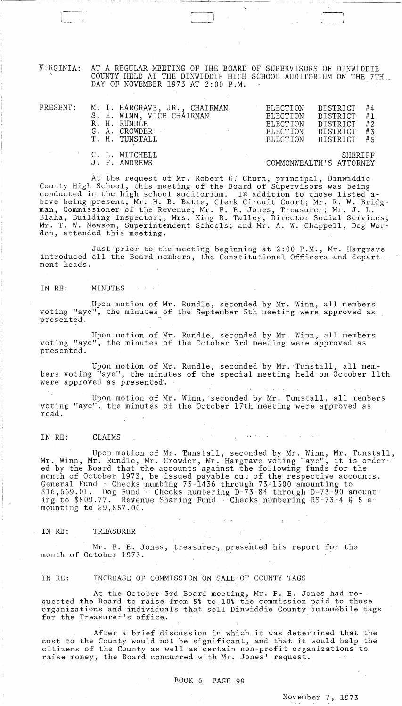VIRGINIA: AT A REGULAR MEETING OF THE BOARD OF SUPERVISORS OF DINWIDDIE COUNTY HELD AT THE DINWIDDIE HIGH SCHOOL AUDITORIUM ON THE 7TH DAY OF NOVEMBER 1973 AT 2:00 P.M.

 $\sqrt{2}$ 

---~--- ----~------ -----------\_\_ - \_\_\_\_\_\_\_\_\_ ~ \_\_ ~,. \_\_\_ ~c \_\_ ~~\_~ \_\_ <sup>~</sup>\_\_\_\_\_ ~ \_\_\_\_ ~ \_\_ ~~\_

L~\_J [

| $\mathtt{PRESENT}$ : |  | M. I. HARGRAVE, JR., CHAIRMAN<br>S. E. WINN, VICE CHAIRMAN<br>R. H. RUNDLE<br>G. A. CROWDER<br>and the company of the company of the company<br>T. H. TUNSTALL | ELECTION<br>ELECTION<br>ELECTION | DISTRICT #4<br>DISTRICT #1<br>ELECTION DISTRICT #2<br>DISTRICT #3<br>ELECTION DISTRICT #5 |  |
|----------------------|--|----------------------------------------------------------------------------------------------------------------------------------------------------------------|----------------------------------|-------------------------------------------------------------------------------------------|--|
|                      |  | <b>C. L. MITCHELL</b>                                                                                                                                          |                                  | SHERIFF                                                                                   |  |

J. F. ANDREWS COMMONWEALTH'S ATTORNEY

At the request of Mr. Robert G. Churn, principal, Dinwiddie County High School, this meeting of the Board of Supervisors was being conducted in the high school auditorium. In addition to those listed above being present, Mr. H. B. Batte, Clerk Circuit Court; Mr. R. W. Bridgman, Commissioner of the Revenue; Mr. F. E. Jones, Treasurer; Mr. J. L. Blaha, Building Inspector;, Mrs. King B. Talley, Director Social Services; Mr. T. W. Newsom, Superintendent Schools; and Mr. A. W. Chappell, Dog Warden, attended this meeting.

Just prior to the meeting beginning at 2:00 P.M., Mr. Hargrave introduced all the Board members, the Constitutional Officers and department heads.

IN RE: MINUTES

Upon motion of Mr. Rundle, seconded by Mr. Winn, all members voting "aye", the minutes of the September 5th meeting were approved as presented.

Upon motion of Mr. Rundle, seconded by Mr. Winn, all members voting "aye", the minutes of the October 3rd meeting were approved as presented.

Upon motion of Mr. Rundle, seconded by Mr. 'Tunstall, all members voting "aye", the minutes of the special meeting held on October 11th were approved as presented.

Upon motion of Mr. Winn, 'seconded by Mr. Tunstall, all members voting "aye", the minutes of the October 17th meeting were approved as read.

IN RE: CLAIMS

Upon motion of Mr. Tunstall, seconded by Mr. Winn, Mr. Tunstall, Mr. Winn, Mr. Rundle, Mr. Crowder, Mr. Hargrave voting "aye", it is ordered by the Board that the accounts against the following funds for the month of October 1973, be issued payable out of the respective accounts. General Fund - Checks numbing 73-1436 through 73-1500 amounting to  $$16,669.01.$  Dog Fund - Checks numbering D-73-84 through D-73-90 amounting to  $$809.77$ . Revenue Sharing Fund - Checks numbering RS-73-4 & 5 amounting to \$9,857.00.

#### IN RE: TREASURER

Mr. F. E. Jones, treasurer, presented his report for the month of October 1973.

IN RE: INCREASE OF COMMISSION ON SALE OF COUNTY TAGS

At the October 3rd Board meeting, Mr. F. E. Jones had requested the Board to raise from 5% to 10% the commission paid to those organizations and individuals that sell Dinwiddie County automobile tags for the Treasurer's office.

After a brief discussion in which it was determined that the cost to the County would not be significant, and that it would help the citizens of the County as well as certain non-profit organizations to raise money, the Board concurred with Mr. Jones' request.

# BOOK 6 PAGE 99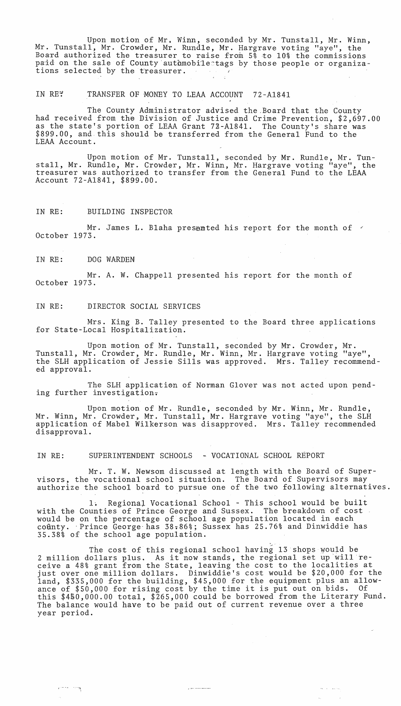Upon motion of Mr. Winn, seconded by Mr. Tunstall, Mr. Winn, Mr. Tunstall, Mr. Crowder, Mr. Rundle, Mr. Hargrave voting "aye", the Board authorized the treasurer to raise from  $5\frac{8}{9}$  to  $10\frac{8}{9}$  the commissions paid on the sale of County automobiletags by those people or organizations selected by the treasurer.

### IN RE: TRANSFER OF MONEY TO LEAA ACCOUNT 72-A1841

The County Administrator advised the Board that the County had received from the Division of Justice and Crime Prevention, \$2,697.00 as the state's portion of LEAA Grant 72-A1841. The County's share was \$899.00, and this should be transferred from the General Fund to the LEAA Account.

Upon motion of Mr. Tunstall, seconded by Mr. Rundle, Mr. Tunstall, Mr. Rundle, Mr. Crowder, Mr. Winn, Mr. Hargrave voting "aye", the treasurer was authorized to transfer from the General Fund to the LEAA Account 72-A184l, \$899.00.

IN RE: BUILDING INSPECTOR

Mr. James L. Blaha presented his report for the month of  $\leq$ October 1973.

IN RE: DOG WARDEN

 $e^{i\pi\phi}$ .  $e^{i\pi\phi}$ 

Mr. A. W. Chappell presented his report for the month of October 1973.

#### IN RE: DIRECTOR SOCIAL SERVICES

Mrs. King B. Talley presented to the Board three applications for State-Local Hospitalization.

Upon motion of Mr. Tunstall, seconded by Mr. Crowder, Mr. Tunstall, Mr. Crowder, Mr. Rundle, Mr. Winn, Mr. Hargrave voting "aye", the SLH application of Jessie Sills was approved. Mrs. Talley recommended approval.

The SLH applicatien of Norman Glover was not acted upon pending further investigation.

Upon motion of Mr. Rundle, seconded by Mr. Winn, Mr. Rundle, Mr. Winn, Mr. Crowder, Mr. Tunstall, Mr. Hargrave voting "aye", the SLH application of Mabel Wilkerson was disapproved. Mrs. Talley recommended disapproval.

IN RE: SUPERINTENDENT SCHOOLS - VOCATIONAL SCHOOL REPORT

Mr. T. W. Newsom discussed at length with the Board of Supervisors, the vocational school situation. The Board of Supervisors may authorize the school board to pursue one of the two following alternatives.

1. Regional Vocational School - This school would be built with the Counties of Prince George and Sussex. The breakdown of cost would be on the percentage of school age population located in each coûnty. Prince George has 38.86%; Sussex has 25.76% and Dinwiddie has 35.38% of the school age population.

The cost of this regional school having 13 shops would be 2 million dollars plus. As it now stands, the regional set up will receive a 48% grant from the State, leaving the cost to the localities at just over one million dollars. Dinwiddie's cost would be \$20,000 for the land, \$335,000 for the building, \$45,000 for the equipment plus an allow-ance of \$50,000 for rising cost by the time it is put out on bids. Of this \$4&0,000.00 total, \$265,000 could be borrowed from the Literary Fund. The balance would have to be paid out of current revenue over a three year period.

للمستشامسا للباري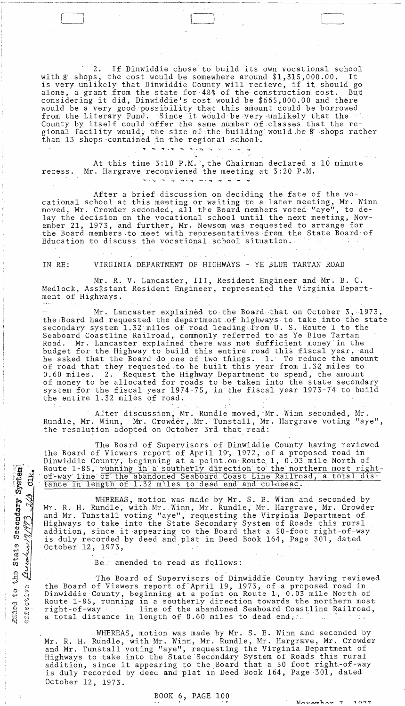2. If Dinwiddie chose to build its own vocational school<br>s. the cost would be somewhere around \$1.315.000.00. It with  $\bar{g}$  shops, the cost would be somewhere around \$1,315,000.00. is very unlikely that Dinwiddie County will recieve, if it should go alone, a grant from the state for 48% of the construction cost. considering it did, Dinwiddie's cost would be \$665,000.00 and there would be a very good possibility that this amount could be borrowed from the Literary Fund. Since it would be very unlikely that the 'in-County by itself could offer the same number of classes that the regional facility would; the size of the building would be 8 shops rather than 13 shops contained in the regional school. '

- - ~------~--'-----~~-'--~------- --~-~,~~---------------------

, J LJ

 $\Box$ 

At this time 3:10 P.M., the Chairman declared a 10 minute recess. Mr. Hargrave reconviened the meeting at 3:20 P.M.

After a brief discussion on deciding the fate of the vocational school at this meeting or waiting to a later meeting, Mr. Winn eational sensor at this meeting of waiting to a facer meeting, hi. wind lay the decision on the vocational school until the next meeting, November 21, 1973, and further, Mr. Newsom was requested to arrange for the Board members to meet with representatives from the State Board of Education to discuss the vocational school situation.

IN RE: VIRGINIA DEPARTMENT OF HIGHWAYS - YE BLUE TARTAN ROAD

Mr. R. V. Lancaster, III, Resident Engineer and Mr. B. C. Medlock, Assistant Resident Engineer, represented the Virginia Department of Highways.

Mr. Lancaster explained to the Board that on October 3, 1973, the Board had requested the department of highways to take into the state secondary system 1.32 miles of road leading from U. S. Route 1 to the Seaboard Coastline Railroad, commonly referred to as Ye Blue Tartan<br>Road. Mr. Lancaster explained there was not sufficient money in th Mr. Lancaster explained there was not sufficient money in the budget for the Highway to build this entire road this fiacal year, and he asked that the Board do one of two things. 1. To reduce the amount of road that they requested to be built this year from 1.32 miles to 0.60 miles. 2. Request the Highway Department to spend, the amount of money to be allocated for roads to be taken into the state secondary system for the fiscal year 1974-75, in the fiscal year 1973-74 to build the entire 1.32 miles of road.

After discussion; Mr. Rundle moved,-Mr. Winn,seconded, Mr. Rundle, Mr. Winn, Mr. Crowder, Mr. Tunstall, Mr. Hargrave voting "aye", Rundle, Mr. Winn, Mr. Crowder, Mr. Tunstall, Mr<br>the resolution adopted on October 3rd that read:

The Board of Supervisors of Dinwiddie County having reviewed the Board of Viewers report of April 19, 1972, of a proposed road in Dinwiddie County, beginning at a point on Route 1, 0.03 mile North of Route 1-85, running in a southerly direction to the northern most rightof-way line of the abandoned Seaboard Coast Line Railroad, a total distance in length of 1.32 miles to dead end and culdesac.

WHEREAS, motion was made by Mr. S. E. Winn and seconded by Mr. R. H. Rundle, with Mr. Winn, Mr. Rundle, Mr. Hargrave, Mr. Crowder and Mr. Tunstall voting "aye", requesting the Virginia Department of and in: ranssall vooling ays, requesting the virginia Bepartments of addition, since it -appearing to the Board that a 50-foot right-of-way is duly recorded by deed and plat in Deed Book 164, Page 301, dated October 12, 1973,

Be, amended to read as follows:

CI)

December 17/973

ERGed to<br>effectiv

us State Secondery System

 $CLK$ 

The Board of 'Supervisors of Dinwiddie County having reviewed the Board of Viewers report of April 19, 1973, of a proposed road in Dinwiddie County, beginning at a point on Route 1, 0.03 mile North of Route 1-85, running in a southerly direction towards the northern most<br>right-of-way line of the abandoned Seaboard Coastline Railroad. line of the abandoned Seaboard Coastline Railroad, a total distance in length of  $0.60$  miles to dead end;

WHEREAS, motion was made by Mr. S. E. Winn and seconded by Mr. R. H. Rundle, with Mr. Winn, Mr. Rundle, Mr. Hargrave, Mr. Crowder and Mr. Tunstall voting "aye", requesting the Virginia, Department of Highways to take into the State Secondary System of Roads this rural Highways to take into the state secondary system or koads this fural<br>addition, since it appearing to the Board that a 50 foot right-of-way is duly recorded by deed and plat in Deed Book 164, Page 301, dated October 12, 1973.

## BOOK 6, PAGE 100

 $1077$  $N$ ough on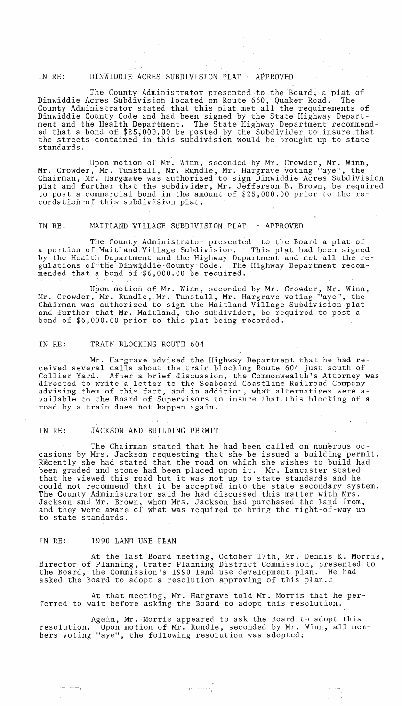### IN RE: DINWIDDIE ACRES SUBDIVISION PLAT - APPROVED

The County Administrator presented to the Board; a plat of Dinwiddie Acres Subdivision located on Route 660, Quaker Road. The County Administrator stated that this plat met all the requirements of Dinwiddie County Code and had been signed by the State Highway Department and the Health Department. The State Highway Department recommended that a bond of \$25,000.00 be posted by the Subdivider to insure that the streets contained in this subdivision would be brought up to state standards.

Upon motion of Mr. Winn, seconded by Mr. Crowder, Mr. Winn, Mr. Crowder, Mr. Tunstall, Mr. Rundle, Mr. Hargrave voting "aye", the Chairman, Mr. Hargxave was authorized to sign Dinwiddie Acres Subdivision plat and further that the subdivider, Mr. Jefferson B. Brown, be required to post a commercial bond in the amount of \$25,000.00 prior to the re cordation of this subdivision plat.

#### IN RE: MAITLAND VILLAGE SUBDIVISION PLAT - APPROVED

The County Administrator presented to the Board a plat. of a portion of Maitland' Village Subdivision. This plat had been signed by the Health Department and the Highway Department and met all the regulations of the Dinwiddie County Code. The Highway Department recommended that a bond of \$6,000.00 be required.

Upon motion of Mr. Winn, seconded by Mr. Crowder, Mr. Winn, Mr. Crowder, Mr. Rundle, Mr. Tunstall, Mr. Hargrave voting "aye", the Chairman was authorized to sign the Maitland Village Subdivision plat and further that Mr. Maitland, the subdivider, be required to post a bond of \$6,000.00 prior to this plat being recorded.

#### IN RE: TRAIN BLOCKING ROUTE 604

Mr. Hargrave advised the Highway Department that he had received several calls about the train blocking Route 604 just south of Collier Yard. After a brief discussion, the Commonwealth's Attorney was directed to write a.letter to the Seaboard Coastline Railroad Company advising them of this fact, and in addition, what alternatives were available to the Board of Supervisors to insure that this blocking of a road by a train does not happen again.

## IN RE: JACKSON AND BUILDING PERMIT

The Chairman stated that he had been called on numerous occasions by Mrs. Jackson requesting that she be issued a building permit. Recently she had stated that the road on which she wishes to build had been graded and stone had been placed upon it. Mr. Lancaster stated that he viewed this road but it was not up to state standards and he could not recommend that it be accepted into the state secondary system. The County Administrator said he had discussed this matter with Mrs. Jackson and Mr. Brown, whom Mrs. Jackson had purchased the land from, and they were aware of what was required to bring the right-of-way up to state standards.

## IN RE: 1990 LAND USE PLAN

- -,

At the last Board meeting, October 17th, Mr. Dennis K. Morris, flirector of Planning, 'Crater Planning District Commission, presented to the Board, the Commission's 1990 land use development plan. He had asked the Board to adopt a resolution approving of this plan.5

At that meeting, Mr. Hargrave told Mr. Morris that he perferred to wait before asking the Board to adopt this resolution.

Again, Mr. Morris appeared to ask the Board to adopt this resolution. Upon motion of Mr. Rundle, seconded by Mr. Winn, all members voting "aye", the following resolution was adopted: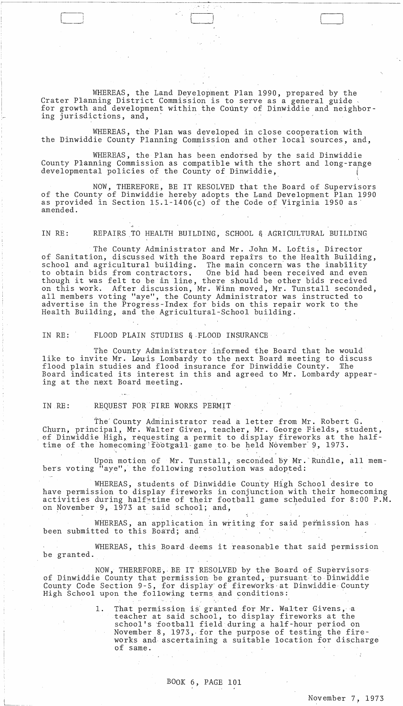WHEREAS, the Land Development Plan 1990, prepared by the Crater Planning District Commission is to serve as a general guide for growth and development within the County of Dinwiddie and neighbor-<br>ing jurisdictions, and,

 $\Box$ 

WHEREAS, the Plan was developed in close cooperation with the Dinwiddie County Planning Commission and other local sources, and,

WHEREAS, the Plan has been endorsed by the said Dinwiddie County Planning Commission as compatible with the short and long-range developmental policies of the County of Dinwiddie,

NOW, THEREFORE, BE IT RESOLVED that the Board of Supervisors of the County of Dinwiddie hereby adopts the Land Development Plan 1990 as provided in Section 15.1-1406(c) of the Code of Virginia 1950 as amended.

IN RE: REPAIRS TO HEALTH BUILDING, SCHOOL & AGRICULTURAL BUILDING

The County Administrator and Mr. John M. Loftis, Director of Sanitation, discussed with the Board repairs to the Health Building,<br>school and agricultural building. The main concern was the inability school and agricultural building.<br>to obtain bids from contractors, One bid had been received and even though it was felt to be in line, there should be other bids received on this work. After discussion, Mr. Winn moved, Mr. Tunstall seconded, all members voting "aye", the County Administrator was instructed to advertise in the Progress-Index for bids on this repair work to the Health Building, and the Agricultural-School building.

IN RE: FLOOD PLAIN STUDIES & FLOOD INSURANCE

The County Admini'strator informed the Board that he would like to invite Mr. Louis Lombardy to the next Board meeting to discuss flood plain studies and flood insurance for Dinwiddie County. The Board indicated its interest in this and agreed to Mr. Lombardy appearing at the next Board meeting.

## IN RE: REQUEST FOR 'FIRE WORKS PERMIT

The' County Administrator read a letter from Mr. Robert G. Churn, principal, Mr. Walter Given, teacher, Mr. George Fields, student, ef Dinwiddie High, requesting a permit to display fireworks at the halftime of the homecoming' footgall game to be held November' 9, 1973.

Upon motion of Mr. Tunstall, seconded by Mr. Rundle, all members voting "aye", the following resolution was adopted:

WHEREAS, students of Dinwiddie County High School desire to have permission to display fireworks in conjunction with their homecoming activities during halfstime of their football game scheduled for 8:00 P.M. on November 9, 1973 at said school; and,

WHEREAS, an application in writing for said permission has  $\cdot$ been submitted to this Board; and

WHEREAS, this Board deems it reasonable that said permission be granted.

NOW, THEREFORE, BE IT RESOLVED by the Board of Supervisors of Dinwiddie County that permission be granted, pursuant to Dinwiddie County Code Section 9-5, for display of fireworks at Dinwiddie County High School upon the following terms and conditions:

> 1. That permission is granted for Mr. Walter Givens, a teacher at said school, to display fireworks at the school's £ootball field during a half-hour period on November 8, 1973, for the purpose of testing the fireworks and ascertaining a suitable location for discharge of same.